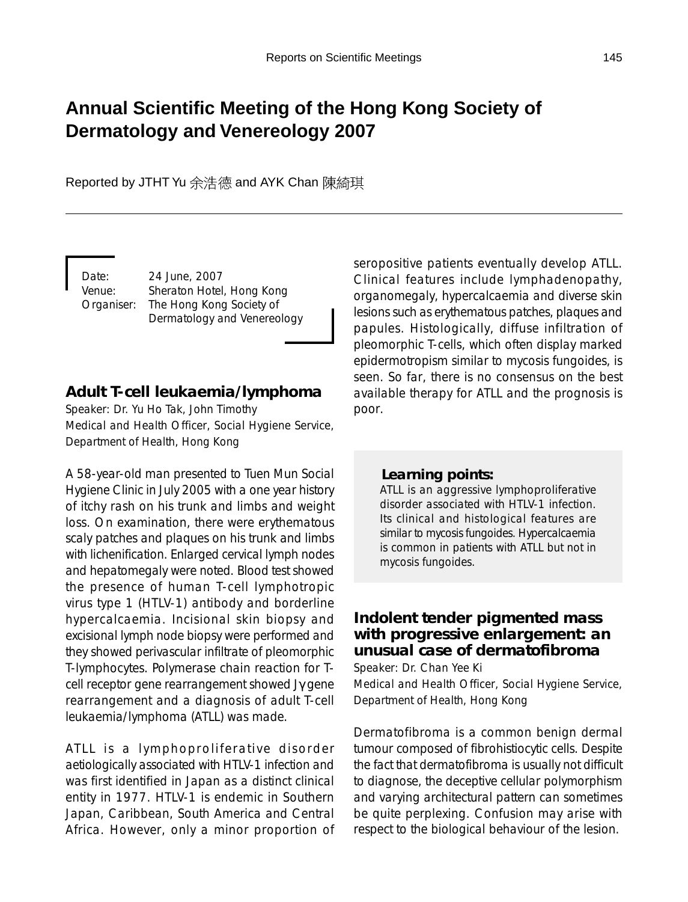# **Annual Scientific Meeting of the Hong Kong Society of Dermatology and Venereology 2007**

Reported by JTHT Yu 余浩德 and AYK Chan 陳綺琪

Date: 24 June, 2007 Venue: Sheraton Hotel, Hong Kong Organiser: The Hong Kong Society of Dermatology and Venereology

# **Adult T-cell leukaemia/lymphoma**

Speaker: Dr. Yu Ho Tak, John Timothy Medical and Health Officer, Social Hygiene Service, Department of Health, Hong Kong

A 58-year-old man presented to Tuen Mun Social Hygiene Clinic in July 2005 with a one year history of itchy rash on his trunk and limbs and weight loss. On examination, there were erythematous scaly patches and plaques on his trunk and limbs with lichenification. Enlarged cervical lymph nodes and hepatomegaly were noted. Blood test showed the presence of human T-cell lymphotropic virus type 1 (HTLV-1) antibody and borderline hypercalcaemia. Incisional skin biopsy and excisional lymph node biopsy were performed and they showed perivascular infiltrate of pleomorphic T-lymphocytes. Polymerase chain reaction for Tcell receptor gene rearrangement showed Jγ gene rearrangement and a diagnosis of adult T-cell leukaemia/lymphoma (ATLL) was made.

ATLL is a lymphoproliferative disorder aetiologically associated with HTLV-1 infection and was first identified in Japan as a distinct clinical entity in 1977. HTLV-1 is endemic in Southern Japan, Caribbean, South America and Central Africa. However, only a minor proportion of seropositive patients eventually develop ATLL. Clinical features include lymphadenopathy, organomegaly, hypercalcaemia and diverse skin lesions such as erythematous patches, plaques and papules. Histologically, diffuse infiltration of pleomorphic T-cells, which often display marked epidermotropism similar to mycosis fungoides, is seen. So far, there is no consensus on the best available therapy for ATLL and the prognosis is poor.

## *Learning points:*

ATLL is an aggressive lymphoproliferative disorder associated with HTLV-1 infection. Its clinical and histological features are similar to mycosis fungoides. Hypercalcaemia is common in patients with ATLL but not in mycosis fungoides.

# **Indolent tender pigmented mass with progressive enlargement: an unusual case of dermatofibroma**

Speaker: Dr. Chan Yee Ki Medical and Health Officer, Social Hygiene Service, Department of Health, Hong Kong

Dermatofibroma is a common benign dermal tumour composed of fibrohistiocytic cells. Despite the fact that dermatofibroma is usually not difficult to diagnose, the deceptive cellular polymorphism and varying architectural pattern can sometimes be quite perplexing. Confusion may arise with respect to the biological behaviour of the lesion.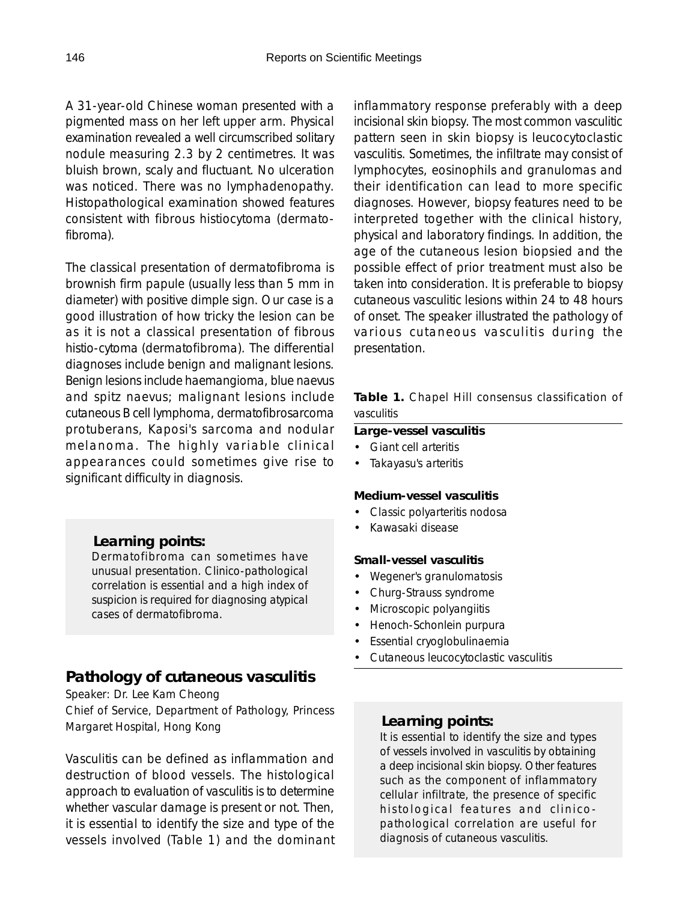A 31-year-old Chinese woman presented with a pigmented mass on her left upper arm. Physical examination revealed a well circumscribed solitary nodule measuring 2.3 by 2 centimetres. It was bluish brown, scaly and fluctuant. No ulceration was noticed. There was no lymphadenopathy. Histopathological examination showed features consistent with fibrous histiocytoma (dermatofibroma).

The classical presentation of dermatofibroma is brownish firm papule (usually less than 5 mm in diameter) with positive dimple sign. Our case is a good illustration of how tricky the lesion can be as it is not a classical presentation of fibrous histio-cytoma (dermatofibroma). The differential diagnoses include benign and malignant lesions. Benign lesions include haemangioma, blue naevus and spitz naevus; malignant lesions include cutaneous B cell lymphoma, dermatofibrosarcoma protuberans, Kaposi's sarcoma and nodular melanoma. The highly variable clinical appearances could sometimes give rise to significant difficulty in diagnosis.

### *Learning points:*

Dermatofibroma can sometimes have unusual presentation. Clinico-pathological correlation is essential and a high index of suspicion is required for diagnosing atypical cases of dermatofibroma.

## **Pathology of cutaneous vasculitis**

Speaker: Dr. Lee Kam Cheong

Chief of Service, Department of Pathology, Princess Margaret Hospital, Hong Kong

Vasculitis can be defined as inflammation and destruction of blood vessels. The histological approach to evaluation of vasculitis is to determine whether vascular damage is present or not. Then, it is essential to identify the size and type of the vessels involved (Table 1) and the dominant inflammatory response preferably with a deep incisional skin biopsy. The most common vasculitic pattern seen in skin biopsy is leucocytoclastic vasculitis. Sometimes, the infiltrate may consist of lymphocytes, eosinophils and granulomas and their identification can lead to more specific diagnoses. However, biopsy features need to be interpreted together with the clinical history, physical and laboratory findings. In addition, the age of the cutaneous lesion biopsied and the possible effect of prior treatment must also be taken into consideration. It is preferable to biopsy cutaneous vasculitic lesions within 24 to 48 hours of onset. The speaker illustrated the pathology of various cutaneous vasculitis during the presentation.

**Table 1.** Chapel Hill consensus classification of vasculitis

#### **Large-vessel vasculitis**

- Giant cell arteritis
- Takayasu's arteritis

#### **Medium-vessel vasculitis**

- Classic polyarteritis nodosa
- Kawasaki disease

#### **Small-vessel vasculitis**

- Wegener's granulomatosis
- Churg-Strauss syndrome
- Microscopic polyangiitis
- Henoch-Schonlein purpura
- Essential cryoglobulinaemia
- Cutaneous leucocytoclastic vasculitis

#### *Learning points:*

It is essential to identify the size and types of vessels involved in vasculitis by obtaining a deep incisional skin biopsy. Other features such as the component of inflammatory cellular infiltrate, the presence of specific histological features and clinicopathological correlation are useful for diagnosis of cutaneous vasculitis.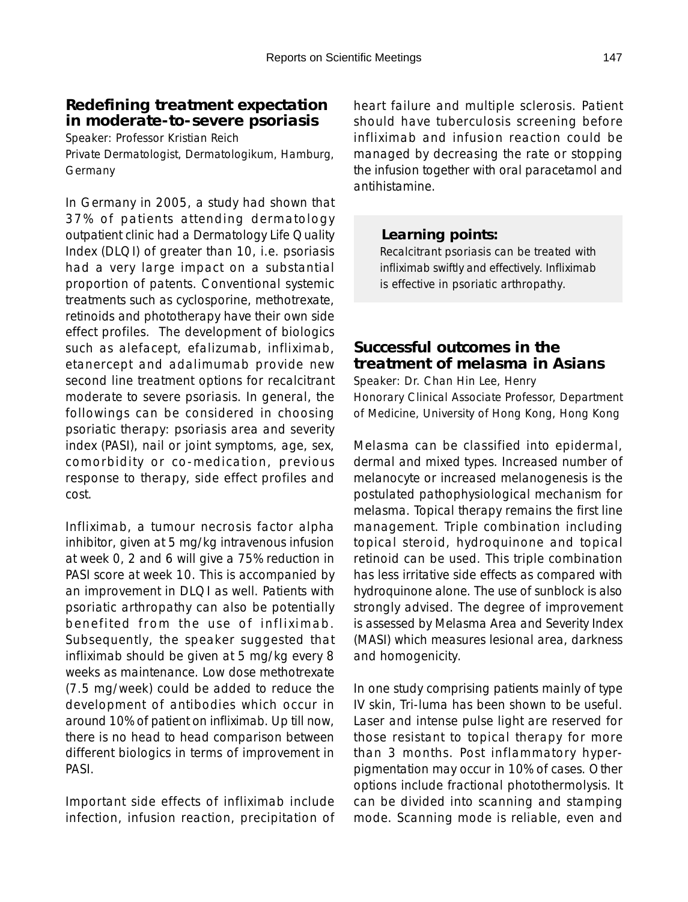# **Redefining treatment expectation in moderate-to-severe psoriasis**

Speaker: Professor Kristian Reich

Private Dermatologist, Dermatologikum, Hamburg, Germany

In Germany in 2005, a study had shown that 37% of patients attending dermatology outpatient clinic had a Dermatology Life Quality Index (DLQI) of greater than 10, i.e. psoriasis had a very large impact on a substantial proportion of patents. Conventional systemic treatments such as cyclosporine, methotrexate, retinoids and phototherapy have their own side effect profiles. The development of biologics such as alefacept, efalizumab, infliximab, etanercept and adalimumab provide new second line treatment options for recalcitrant moderate to severe psoriasis. In general, the followings can be considered in choosing psoriatic therapy: psoriasis area and severity index (PASI), nail or joint symptoms, age, sex, comorbidity or co-medication, previous response to therapy, side effect profiles and cost.

Infliximab, a tumour necrosis factor alpha inhibitor, given at 5 mg/kg intravenous infusion at week 0, 2 and 6 will give a 75% reduction in PASI score at week 10. This is accompanied by an improvement in DLQI as well. Patients with psoriatic arthropathy can also be potentially benefited from the use of infliximab. Subsequently, the speaker suggested that infliximab should be given at 5 mg/kg every 8 weeks as maintenance. Low dose methotrexate (7.5 mg/week) could be added to reduce the development of antibodies which occur in around 10% of patient on infliximab. Up till now, there is no head to head comparison between different biologics in terms of improvement in PASI.

Important side effects of infliximab include infection, infusion reaction, precipitation of heart failure and multiple sclerosis. Patient should have tuberculosis screening before infliximab and infusion reaction could be managed by decreasing the rate or stopping the infusion together with oral paracetamol and antihistamine.

### *Learning points:*

Recalcitrant psoriasis can be treated with infliximab swiftly and effectively. Infliximab is effective in psoriatic arthropathy.

# **Successful outcomes in the treatment of melasma in Asians**

Speaker: Dr. Chan Hin Lee, Henry Honorary Clinical Associate Professor, Department of Medicine, University of Hong Kong, Hong Kong

Melasma can be classified into epidermal, dermal and mixed types. Increased number of melanocyte or increased melanogenesis is the postulated pathophysiological mechanism for melasma. Topical therapy remains the first line management. Triple combination including topical steroid, hydroquinone and topical retinoid can be used. This triple combination has less irritative side effects as compared with hydroquinone alone. The use of sunblock is also strongly advised. The degree of improvement is assessed by Melasma Area and Severity Index (MASI) which measures lesional area, darkness and homogenicity.

In one study comprising patients mainly of type IV skin, Tri-luma has been shown to be useful. Laser and intense pulse light are reserved for those resistant to topical therapy for more than 3 months. Post inflammatory hyperpigmentation may occur in 10% of cases. Other options include fractional photothermolysis. It can be divided into scanning and stamping mode. Scanning mode is reliable, even and